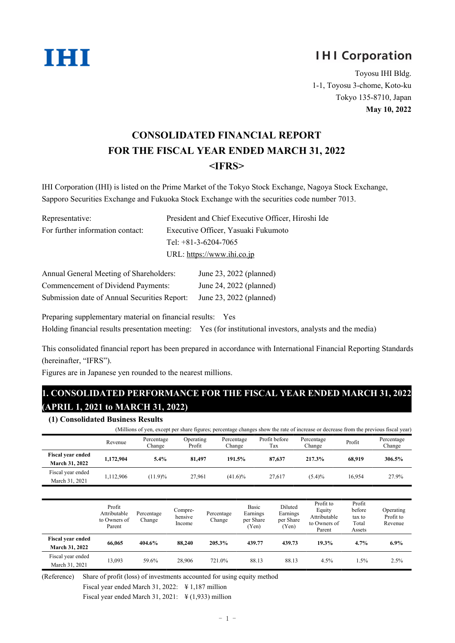

# **IHI Corporation**

Toyosu IHI Bldg. 1-1, Toyosu 3-chome, Koto-ku Tokyo 135-8710, Japan **May 10, 2022**

# **CONSOLIDATED FINANCIAL REPORT FOR THE FISCAL YEAR ENDED MARCH 31, 2022 <IFRS>**

IHI Corporation (IHI) is listed on the Prime Market of the Tokyo Stock Exchange, Nagoya Stock Exchange, Sapporo Securities Exchange and Fukuoka Stock Exchange with the securities code number 7013.

| Representative:                  | President and Chief Executive Officer, Hiroshi Ide |
|----------------------------------|----------------------------------------------------|
| For further information contact: | Executive Officer, Yasuaki Fukumoto                |
|                                  | Tel: $+81-3-6204-7065$                             |
|                                  | URL: https://www.ihi.co.jp                         |

| Annual General Meeting of Shareholders:      | June 23, 2022 (planned) |
|----------------------------------------------|-------------------------|
| Commencement of Dividend Payments:           | June 24, 2022 (planned) |
| Submission date of Annual Securities Report: | June 23, 2022 (planned) |

Preparing supplementary material on financial results: Yes Holding financial results presentation meeting: Yes (for institutional investors, analysts and the media)

This consolidated financial report has been prepared in accordance with International Financial Reporting Standards (hereinafter, "IFRS").

Figures are in Japanese yen rounded to the nearest millions.

## **1. CONSOLIDATED PERFORMANCE FOR THE FISCAL YEAR ENDED MARCH 31, 2022 (APRIL 1, 2021 to MARCH 31, 2022)**

| (1) Consolidated Business Results                                                                                                   |           |                      |                     |                      |                      |                      |        |                      |  |  |  |
|-------------------------------------------------------------------------------------------------------------------------------------|-----------|----------------------|---------------------|----------------------|----------------------|----------------------|--------|----------------------|--|--|--|
| (Millions of yen, except per share figures; percentage changes show the rate of increase or decrease from the previous fiscal year) |           |                      |                     |                      |                      |                      |        |                      |  |  |  |
|                                                                                                                                     | Revenue   | Percentage<br>Change | Operating<br>Profit | Percentage<br>Change | Profit before<br>Tax | Percentage<br>Change | Profit | Percentage<br>Change |  |  |  |
| <b>Fiscal year ended</b><br>March 31, 2022                                                                                          | 1.172.904 | $5.4\%$              | 81.497              | 191.5%               | 87.637               | 217.3%               | 68.919 | 306.5%               |  |  |  |
| Fiscal year ended<br>March 31, 2021                                                                                                 | 1.112.906 | (11.9)%              | 27,961              | $(41.6)\%$           | 27,617               | (5.4)%               | 16.954 | 27.9%                |  |  |  |

|                                            | Profit<br>Attributable<br>to Owners of<br>Parent | Percentage<br>Change | Compre-<br>hensive<br>Income | Percentage<br>Change | <b>Basic</b><br>Earnings<br>per Share<br>(Yen) | Diluted<br>Earnings<br>per Share<br>(Yen) | Profit to<br>Equity<br>Attributable<br>to Owners of<br>Parent | Profit<br>before<br>tax to<br>Total<br>Assets | Operating<br>Profit to<br>Revenue |
|--------------------------------------------|--------------------------------------------------|----------------------|------------------------------|----------------------|------------------------------------------------|-------------------------------------------|---------------------------------------------------------------|-----------------------------------------------|-----------------------------------|
| <b>Fiscal year ended</b><br>March 31, 2022 | 66,065                                           | 404.6%               | 88,240                       | 205.3%               | 439.77                                         | 439.73                                    | 19.3%                                                         | 4.7%                                          | $6.9\%$                           |
| Fiscal year ended<br>March 31, 2021        | 13,093                                           | 59.6%                | 28,906                       | 721.0%               | 88.13                                          | 88.13                                     | 4.5%                                                          | 1.5%                                          | 2.5%                              |

(Reference) Share of profit (loss) of investments accounted for using equity method

Fiscal year ended March 31, 2022: ¥ 1,187 million

Fiscal year ended March 31, 2021:  $\frac{12}{1,933}$  million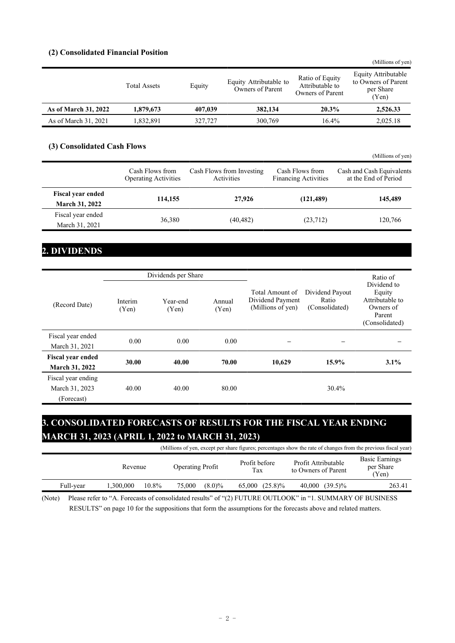#### **(2) Consolidated Financial Position**

|                      |                     |         |                                            |                                                        | (Millions of yen)                                                |
|----------------------|---------------------|---------|--------------------------------------------|--------------------------------------------------------|------------------------------------------------------------------|
|                      | <b>Total Assets</b> | Equity  | Equity Attributable to<br>Owners of Parent | Ratio of Equity<br>Attributable to<br>Owners of Parent | Equity Attributable<br>to Owners of Parent<br>per Share<br>(Yen) |
| As of March 31, 2022 | 1,879,673           | 407,039 | 382,134                                    | 20.3%                                                  | 2,526.33                                                         |
| As of March 31, 2021 | 1,832,891           | 327,727 | 300,769                                    | 16.4%                                                  | 2,025.18                                                         |
|                      |                     |         |                                            |                                                        |                                                                  |

#### **(3) Consolidated Cash Flows**

|                          |                                                |                                         |                                                | (Millions of yen)                                 |
|--------------------------|------------------------------------------------|-----------------------------------------|------------------------------------------------|---------------------------------------------------|
|                          | Cash Flows from<br><b>Operating Activities</b> | Cash Flows from Investing<br>Activities | Cash Flows from<br><b>Financing Activities</b> | Cash and Cash Equivalents<br>at the End of Period |
| <b>Fiscal year ended</b> | 114,155                                        | 27,926                                  | (121, 489)                                     | 145,489                                           |
| <b>March 31, 2022</b>    |                                                |                                         |                                                |                                                   |
| Fiscal year ended        |                                                |                                         |                                                |                                                   |
| March 31, 2021           | 36,380                                         | (40, 482)                               | (23,712)                                       | 120,766                                           |

## **2. DIVIDENDS**

|                                      |                  | Dividends per Share |                 |                                                          |                                            | Ratio of                                                                          |
|--------------------------------------|------------------|---------------------|-----------------|----------------------------------------------------------|--------------------------------------------|-----------------------------------------------------------------------------------|
| (Record Date)                        | Interim<br>(Yen) | Year-end<br>(Yen)   | Annual<br>(Yen) | Total Amount of<br>Dividend Payment<br>(Millions of yen) | Dividend Payout<br>Ratio<br>(Consolidated) | Dividend to<br>Equity<br>Attributable to<br>Owners of<br>Parent<br>(Consolidated) |
| Fiscal year ended<br>March 31, 2021  | 0.00             | 0.00                | 0.00            |                                                          |                                            |                                                                                   |
| <b>Fiscal year ended</b>             |                  |                     |                 |                                                          |                                            |                                                                                   |
| <b>March 31, 2022</b>                | 30.00            | 40.00               | 70.00           | 10,629                                                   | 15.9%                                      | 3.1%                                                                              |
| Fiscal year ending<br>March 31, 2023 | 40.00            | 40.00               | 80.00           |                                                          | 30.4%                                      |                                                                                   |
| (Forecast)                           |                  |                     |                 |                                                          |                                            |                                                                                   |

## **3. CONSOLIDATED FORECASTS OF RESULTS FOR THE FISCAL YEAR ENDING MARCH 31, 2023 (APRIL 1, 2022 to MARCH 31, 2023)**

|           | (Millions of yen, except per share figures; percentages show the rate of changes from the previous fiscal year) |       |                         |           |                      |            |                                            |                |                                             |
|-----------|-----------------------------------------------------------------------------------------------------------------|-------|-------------------------|-----------|----------------------|------------|--------------------------------------------|----------------|---------------------------------------------|
|           | Revenue                                                                                                         |       | <b>Operating Profit</b> |           | Profit before<br>Tax |            | Profit Attributable<br>to Owners of Parent |                | <b>Basic Earnings</b><br>per Share<br>(Yen) |
| Full-year | 1.300.000                                                                                                       | 10.8% | 75,000                  | $(8.0)\%$ | 65,000               | $(25.8)\%$ |                                            | 40,000 (39.5)% | 263.41                                      |

(Note) Please refer to "A. Forecasts of consolidated results" of "(2) FUTURE OUTLOOK" in "1. SUMMARY OF BUSINESS RESULTS" on page 10 for the suppositions that form the assumptions for the forecasts above and related matters.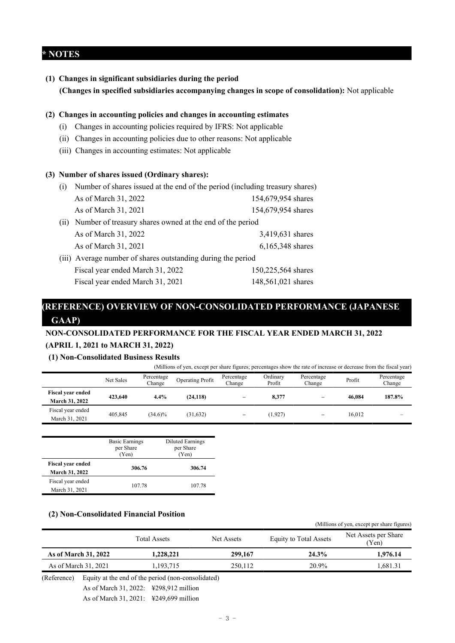### **\* NOTES**

**(1) Changes in significant subsidiaries during the period (Changes in specified subsidiaries accompanying changes in scope of consolidation):** Not applicable

#### **(2) Changes in accounting policies and changes in accounting estimates**

- (i) Changes in accounting policies required by IFRS: Not applicable
- (ii) Changes in accounting policies due to other reasons: Not applicable
- (iii) Changes in accounting estimates: Not applicable

#### **(3) Number of shares issued (Ordinary shares):**

| (1)  | Number of shares issued at the end of the period (including treasury shares) |                    |  |  |  |  |  |  |  |
|------|------------------------------------------------------------------------------|--------------------|--|--|--|--|--|--|--|
|      | As of March 31, 2022                                                         | 154,679,954 shares |  |  |  |  |  |  |  |
|      | As of March 31, 2021                                                         | 154,679,954 shares |  |  |  |  |  |  |  |
| (11) | Number of treasury shares owned at the end of the period                     |                    |  |  |  |  |  |  |  |
|      | As of March 31, 2022                                                         | 3,419,631 shares   |  |  |  |  |  |  |  |
|      | As of March 31, 2021                                                         | 6,165,348 shares   |  |  |  |  |  |  |  |
|      | (iii) Average number of shares outstanding during the period                 |                    |  |  |  |  |  |  |  |
|      | Fiscal year ended March 31, 2022                                             | 150,225,564 shares |  |  |  |  |  |  |  |
|      | Fiscal year ended March 31, 2021                                             | 148,561,021 shares |  |  |  |  |  |  |  |

## **(REFERENCE) OVERVIEW OF NON-CONSOLIDATED PERFORMANCE (JAPANESE GAAP)**

### **NON-CONSOLIDATED PERFORMANCE FOR THE FISCAL YEAR ENDED MARCH 31, 2022 (APRIL 1, 2021 to MARCH 31, 2022)**

#### **(1) Non-Consolidated Business Results**

|                                            |           |                      | (Millions of yen, except per share figures; percentages show the rate of increase or decrease from the fiscal year) |                      |                    |                      |        |                      |
|--------------------------------------------|-----------|----------------------|---------------------------------------------------------------------------------------------------------------------|----------------------|--------------------|----------------------|--------|----------------------|
|                                            | Net Sales | Percentage<br>Change | Operating Profit                                                                                                    | Percentage<br>Change | Ordinary<br>Profit | Percentage<br>Change | Profit | Percentage<br>Change |
| <b>Fiscal year ended</b><br>March 31, 2022 | 423,640   | 4.4%                 | (24, 118)                                                                                                           |                      | 8.377              |                      | 46.084 | 187.8%               |
| Fiscal year ended<br>March 31, 2021        | 405,845   | $(34.6)\%$           | (31, 632)                                                                                                           |                      | (1,927)            |                      | 16.012 | -                    |

|                                            | <b>Basic Earnings</b><br>per Share<br>(Yen) | <b>Diluted Earnings</b><br>per Share<br>(Yen) |
|--------------------------------------------|---------------------------------------------|-----------------------------------------------|
| <b>Fiscal year ended</b><br>March 31, 2022 | 306.76                                      | 306.74                                        |
| Fiscal year ended<br>March 31, 2021        | 107.78                                      | 107.78                                        |

#### **(2) Non-Consolidated Financial Position**

|                      | <b>Total Assets</b> | Net Assets | <b>Equity to Total Assets</b> | Net Assets per Share<br>(Yen) |
|----------------------|---------------------|------------|-------------------------------|-------------------------------|
| As of March 31, 2022 | 1,228,221           | 299,167    | 24.3%                         | 1.976.14                      |
| As of March 31, 2021 | 1,193,715           | 250.112    | 20.9%                         | .681.31                       |

(Millions of yen, except per share figures)

(Reference) Equity at the end of the period (non-consolidated)

As of March 31, 2022: ¥298,912 million

As of March 31, 2021: ¥249,699 million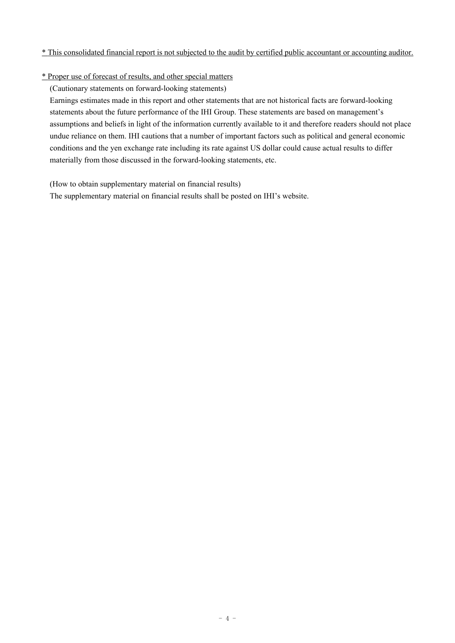#### \* This consolidated financial report is not subjected to the audit by certified public accountant or accounting auditor.

#### \* Proper use of forecast of results, and other special matters

(Cautionary statements on forward-looking statements)

Earnings estimates made in this report and other statements that are not historical facts are forward-looking statements about the future performance of the IHI Group. These statements are based on management's assumptions and beliefs in light of the information currently available to it and therefore readers should not place undue reliance on them. IHI cautions that a number of important factors such as political and general economic conditions and the yen exchange rate including its rate against US dollar could cause actual results to differ materially from those discussed in the forward-looking statements, etc.

(How to obtain supplementary material on financial results)

The supplementary material on financial results shall be posted on IHI's website.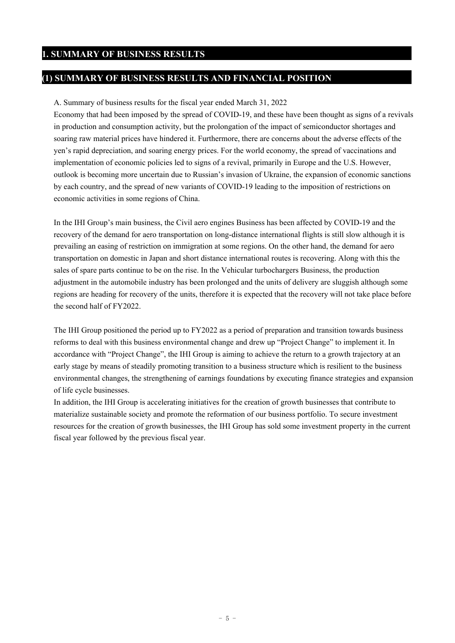### **(1) SUMMARY OF BUSINESS RESULTS AND FINANCIAL POSITION**

#### A. Summary of business results for the fiscal year ended March 31, 2022

Economy that had been imposed by the spread of COVID-19, and these have been thought as signs of a revivals in production and consumption activity, but the prolongation of the impact of semiconductor shortages and soaring raw material prices have hindered it. Furthermore, there are concerns about the adverse effects of the yen's rapid depreciation, and soaring energy prices. For the world economy, the spread of vaccinations and implementation of economic policies led to signs of a revival, primarily in Europe and the U.S. However, outlook is becoming more uncertain due to Russian's invasion of Ukraine, the expansion of economic sanctions by each country, and the spread of new variants of COVID-19 leading to the imposition of restrictions on economic activities in some regions of China.

In the IHI Group's main business, the Civil aero engines Business has been affected by COVID-19 and the recovery of the demand for aero transportation on long-distance international flights is still slow although it is prevailing an easing of restriction on immigration at some regions. On the other hand, the demand for aero transportation on domestic in Japan and short distance international routes is recovering. Along with this the sales of spare parts continue to be on the rise. In the Vehicular turbochargers Business, the production adjustment in the automobile industry has been prolonged and the units of delivery are sluggish although some regions are heading for recovery of the units, therefore it is expected that the recovery will not take place before the second half of FY2022.

The IHI Group positioned the period up to FY2022 as a period of preparation and transition towards business reforms to deal with this business environmental change and drew up "Project Change" to implement it. In accordance with "Project Change", the IHI Group is aiming to achieve the return to a growth trajectory at an early stage by means of steadily promoting transition to a business structure which is resilient to the business environmental changes, the strengthening of earnings foundations by executing finance strategies and expansion of life cycle businesses.

In addition, the IHI Group is accelerating initiatives for the creation of growth businesses that contribute to materialize sustainable society and promote the reformation of our business portfolio. To secure investment resources for the creation of growth businesses, the IHI Group has sold some investment property in the current fiscal year followed by the previous fiscal year.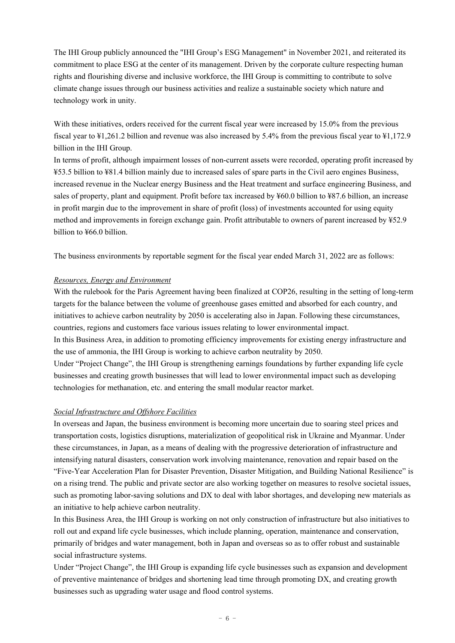The IHI Group publicly announced the "IHI Group's ESG Management" in November 2021, and reiterated its commitment to place ESG at the center of its management. Driven by the corporate culture respecting human rights and flourishing diverse and inclusive workforce, the IHI Group is committing to contribute to solve climate change issues through our business activities and realize a sustainable society which nature and technology work in unity.

With these initiatives, orders received for the current fiscal year were increased by 15.0% from the previous fiscal year to ¥1,261.2 billion and revenue was also increased by 5.4% from the previous fiscal year to ¥1,172.9 billion in the IHI Group.

In terms of profit, although impairment losses of non-current assets were recorded, operating profit increased by ¥53.5 billion to ¥81.4 billion mainly due to increased sales of spare parts in the Civil aero engines Business, increased revenue in the Nuclear energy Business and the Heat treatment and surface engineering Business, and sales of property, plant and equipment. Profit before tax increased by ¥60.0 billion to ¥87.6 billion, an increase in profit margin due to the improvement in share of profit (loss) of investments accounted for using equity method and improvements in foreign exchange gain. Profit attributable to owners of parent increased by ¥52.9 billion to ¥66.0 billion.

The business environments by reportable segment for the fiscal year ended March 31, 2022 are as follows:

#### *Resources, Energy and Environment*

With the rulebook for the Paris Agreement having been finalized at COP26, resulting in the setting of long-term targets for the balance between the volume of greenhouse gases emitted and absorbed for each country, and initiatives to achieve carbon neutrality by 2050 is accelerating also in Japan. Following these circumstances, countries, regions and customers face various issues relating to lower environmental impact. In this Business Area, in addition to promoting efficiency improvements for existing energy infrastructure and the use of ammonia, the IHI Group is working to achieve carbon neutrality by 2050. Under "Project Change", the IHI Group is strengthening earnings foundations by further expanding life cycle businesses and creating growth businesses that will lead to lower environmental impact such as developing technologies for methanation, etc. and entering the small modular reactor market.

#### *Social Infrastructure and Offshore Facilities*

In overseas and Japan, the business environment is becoming more uncertain due to soaring steel prices and transportation costs, logistics disruptions, materialization of geopolitical risk in Ukraine and Myanmar. Under these circumstances, in Japan, as a means of dealing with the progressive deterioration of infrastructure and intensifying natural disasters, conservation work involving maintenance, renovation and repair based on the "Five-Year Acceleration Plan for Disaster Prevention, Disaster Mitigation, and Building National Resilience" is on a rising trend. The public and private sector are also working together on measures to resolve societal issues, such as promoting labor-saving solutions and DX to deal with labor shortages, and developing new materials as an initiative to help achieve carbon neutrality.

In this Business Area, the IHI Group is working on not only construction of infrastructure but also initiatives to roll out and expand life cycle businesses, which include planning, operation, maintenance and conservation, primarily of bridges and water management, both in Japan and overseas so as to offer robust and sustainable social infrastructure systems.

Under "Project Change", the IHI Group is expanding life cycle businesses such as expansion and development of preventive maintenance of bridges and shortening lead time through promoting DX, and creating growth businesses such as upgrading water usage and flood control systems.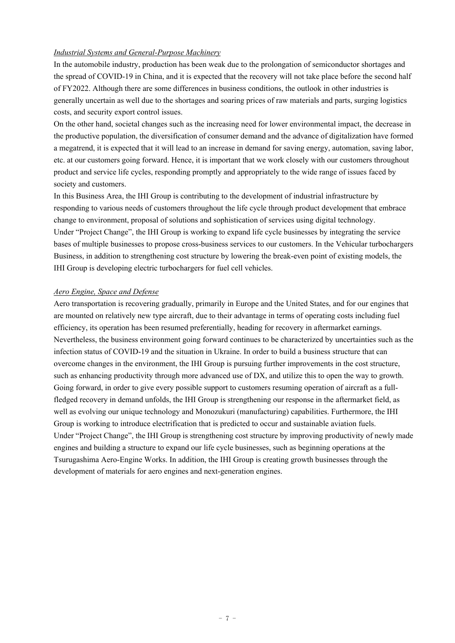#### *Industrial Systems and General-Purpose Machinery*

In the automobile industry, production has been weak due to the prolongation of semiconductor shortages and the spread of COVID-19 in China, and it is expected that the recovery will not take place before the second half of FY2022. Although there are some differences in business conditions, the outlook in other industries is generally uncertain as well due to the shortages and soaring prices of raw materials and parts, surging logistics costs, and security export control issues.

On the other hand, societal changes such as the increasing need for lower environmental impact, the decrease in the productive population, the diversification of consumer demand and the advance of digitalization have formed a megatrend, it is expected that it will lead to an increase in demand for saving energy, automation, saving labor, etc. at our customers going forward. Hence, it is important that we work closely with our customers throughout product and service life cycles, responding promptly and appropriately to the wide range of issues faced by society and customers.

In this Business Area, the IHI Group is contributing to the development of industrial infrastructure by responding to various needs of customers throughout the life cycle through product development that embrace change to environment, proposal of solutions and sophistication of services using digital technology. Under "Project Change", the IHI Group is working to expand life cycle businesses by integrating the service bases of multiple businesses to propose cross-business services to our customers. In the Vehicular turbochargers Business, in addition to strengthening cost structure by lowering the break-even point of existing models, the IHI Group is developing electric turbochargers for fuel cell vehicles.

#### *Aero Engine, Space and Defense*

Aero transportation is recovering gradually, primarily in Europe and the United States, and for our engines that are mounted on relatively new type aircraft, due to their advantage in terms of operating costs including fuel efficiency, its operation has been resumed preferentially, heading for recovery in aftermarket earnings. Nevertheless, the business environment going forward continues to be characterized by uncertainties such as the infection status of COVID-19 and the situation in Ukraine. In order to build a business structure that can overcome changes in the environment, the IHI Group is pursuing further improvements in the cost structure, such as enhancing productivity through more advanced use of DX, and utilize this to open the way to growth. Going forward, in order to give every possible support to customers resuming operation of aircraft as a fullfledged recovery in demand unfolds, the IHI Group is strengthening our response in the aftermarket field, as well as evolving our unique technology and Monozukuri (manufacturing) capabilities. Furthermore, the IHI Group is working to introduce electrification that is predicted to occur and sustainable aviation fuels. Under "Project Change", the IHI Group is strengthening cost structure by improving productivity of newly made engines and building a structure to expand our life cycle businesses, such as beginning operations at the Tsurugashima Aero-Engine Works. In addition, the IHI Group is creating growth businesses through the development of materials for aero engines and next-generation engines.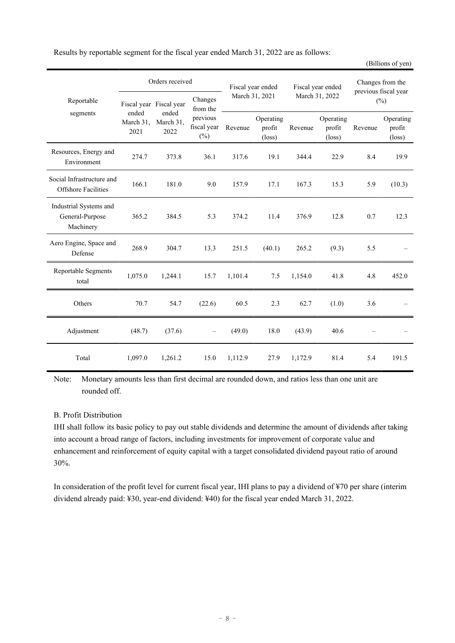|                                                         |                   | Orders received                  |                                 | Fiscal year ended<br>March 31, 2021 |                                        | Fiscal year ended<br>March 31, 2022 |                                        | Changes from the<br>previous fiscal year |                                        |
|---------------------------------------------------------|-------------------|----------------------------------|---------------------------------|-------------------------------------|----------------------------------------|-------------------------------------|----------------------------------------|------------------------------------------|----------------------------------------|
| Reportable<br>segments                                  | ended             | Fiscal year Fiscal year<br>ended | Changes<br>from the<br>previous |                                     |                                        |                                     |                                        | $(\%)$                                   |                                        |
|                                                         | March 31,<br>2021 | March 31,<br>2022                | fiscal year<br>$(\%)$           | Revenue                             | Operating<br>profit<br>$(\text{loss})$ | Revenue                             | Operating<br>profit<br>$(\text{loss})$ | Revenue                                  | Operating<br>profit<br>$(\text{loss})$ |
| Resources, Energy and<br>Environment                    | 274.7             | 373.8                            | 36.1                            | 317.6                               | 19.1                                   | 344.4                               | 22.9                                   | 8.4                                      | 19.9                                   |
| Social Infrastructure and<br><b>Offshore Facilities</b> | 166.1             | 181.0                            | 9.0                             | 157.9                               | 17.1                                   | 167.3                               | 15.3                                   | 5.9                                      | (10.3)                                 |
| Industrial Systems and<br>General-Purpose<br>Machinery  | 365.2             | 384.5                            | 5.3                             | 374.2                               | 11.4                                   | 376.9                               | 12.8                                   | 0.7                                      | 12.3                                   |
| Aero Engine, Space and<br>Defense                       | 268.9             | 304.7                            | 13.3                            | 251.5                               | (40.1)                                 | 265.2                               | (9.3)                                  | 5.5                                      |                                        |
| Reportable Segments<br>total                            | 1,075.0           | 1,244.1                          | 15.7                            | 1,101.4                             | 7.5                                    | 1,154.0                             | 41.8                                   | 4.8                                      | 452.0                                  |
| Others                                                  | 70.7              | 54.7                             | (22.6)                          | 60.5                                | 2.3                                    | 62.7                                | (1.0)                                  | 3.6                                      |                                        |
| Adjustment                                              | (48.7)            | (37.6)                           |                                 | (49.0)                              | 18.0                                   | (43.9)                              | 40.6                                   |                                          |                                        |
| Total                                                   | 1,097.0           | 1,261.2                          | 15.0                            | 1,112.9                             | 27.9                                   | 1,172.9                             | 81.4                                   | 5.4                                      | 191.5                                  |

(Billions of yen)

Results by reportable segment for the fiscal year ended March 31, 2022 are as follows:

Note: Monetary amounts less than first decimal are rounded down, and ratios less than one unit are rounded off.

#### B. Profit Distribution

IHI shall follow its basic policy to pay out stable dividends and determine the amount of dividends after taking into account a broad range of factors, including investments for improvement of corporate value and enhancement and reinforcement of equity capital with a target consolidated dividend payout ratio of around 30%.

In consideration of the profit level for current fiscal year, IHI plans to pay a dividend of ¥70 per share (interim dividend already paid: ¥30, year-end dividend: ¥40) for the fiscal year ended March 31, 2022.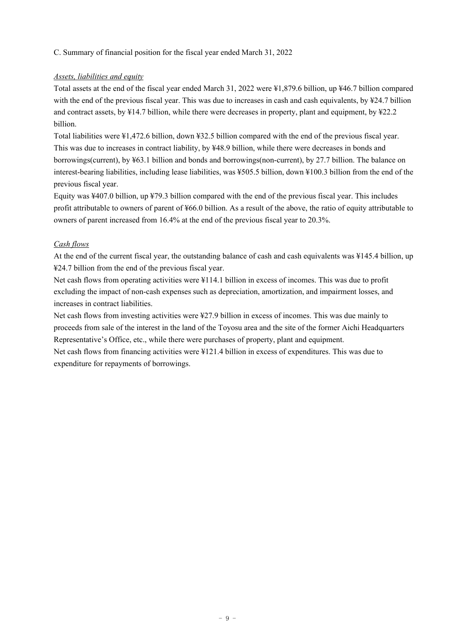C. Summary of financial position for the fiscal year ended March 31, 2022

#### *Assets, liabilities and equity*

Total assets at the end of the fiscal year ended March 31, 2022 were ¥1,879.6 billion, up ¥46.7 billion compared with the end of the previous fiscal year. This was due to increases in cash and cash equivalents, by ¥24.7 billion and contract assets, by ¥14.7 billion, while there were decreases in property, plant and equipment, by ¥22.2 billion.

Total liabilities were ¥1,472.6 billion, down ¥32.5 billion compared with the end of the previous fiscal year. This was due to increases in contract liability, by ¥48.9 billion, while there were decreases in bonds and borrowings(current), by ¥63.1 billion and bonds and borrowings(non-current), by 27.7 billion. The balance on interest-bearing liabilities, including lease liabilities, was ¥505.5 billion, down ¥100.3 billion from the end of the previous fiscal year.

Equity was ¥407.0 billion, up ¥79.3 billion compared with the end of the previous fiscal year. This includes profit attributable to owners of parent of ¥66.0 billion. As a result of the above, the ratio of equity attributable to owners of parent increased from 16.4% at the end of the previous fiscal year to 20.3%.

#### *Cash flows*

At the end of the current fiscal year, the outstanding balance of cash and cash equivalents was ¥145.4 billion, up ¥24.7 billion from the end of the previous fiscal year.

Net cash flows from operating activities were ¥114.1 billion in excess of incomes. This was due to profit excluding the impact of non-cash expenses such as depreciation, amortization, and impairment losses, and increases in contract liabilities.

Net cash flows from investing activities were ¥27.9 billion in excess of incomes. This was due mainly to proceeds from sale of the interest in the land of the Toyosu area and the site of the former Aichi Headquarters Representative's Office, etc., while there were purchases of property, plant and equipment.

Net cash flows from financing activities were ¥121.4 billion in excess of expenditures. This was due to expenditure for repayments of borrowings.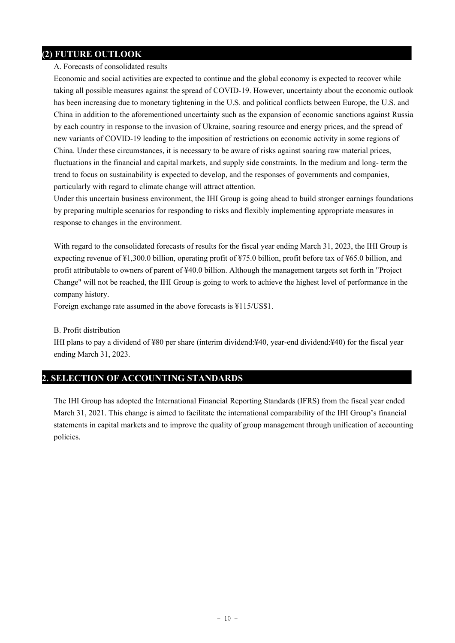## **(2) FUTURE OUTLOOK**

#### A. Forecasts of consolidated results

Economic and social activities are expected to continue and the global economy is expected to recover while taking all possible measures against the spread of COVID-19. However, uncertainty about the economic outlook has been increasing due to monetary tightening in the U.S. and political conflicts between Europe, the U.S. and China in addition to the aforementioned uncertainty such as the expansion of economic sanctions against Russia by each country in response to the invasion of Ukraine, soaring resource and energy prices, and the spread of new variants of COVID-19 leading to the imposition of restrictions on economic activity in some regions of China. Under these circumstances, it is necessary to be aware of risks against soaring raw material prices, fluctuations in the financial and capital markets, and supply side constraints. In the medium and long- term the trend to focus on sustainability is expected to develop, and the responses of governments and companies, particularly with regard to climate change will attract attention.

Under this uncertain business environment, the IHI Group is going ahead to build stronger earnings foundations by preparing multiple scenarios for responding to risks and flexibly implementing appropriate measures in response to changes in the environment.

With regard to the consolidated forecasts of results for the fiscal year ending March 31, 2023, the IHI Group is expecting revenue of ¥1,300.0 billion, operating profit of ¥75.0 billion, profit before tax of ¥65.0 billion, and profit attributable to owners of parent of ¥40.0 billion. Although the management targets set forth in "Project Change" will not be reached, the IHI Group is going to work to achieve the highest level of performance in the company history.

Foreign exchange rate assumed in the above forecasts is ¥115/US\$1.

#### B. Profit distribution

IHI plans to pay a dividend of ¥80 per share (interim dividend:¥40, year-end dividend:¥40) for the fiscal year ending March 31, 2023.

#### **2. SELECTION OF ACCOUNTING STANDARDS**

The IHI Group has adopted the International Financial Reporting Standards (IFRS) from the fiscal year ended March 31, 2021. This change is aimed to facilitate the international comparability of the IHI Group's financial statements in capital markets and to improve the quality of group management through unification of accounting policies.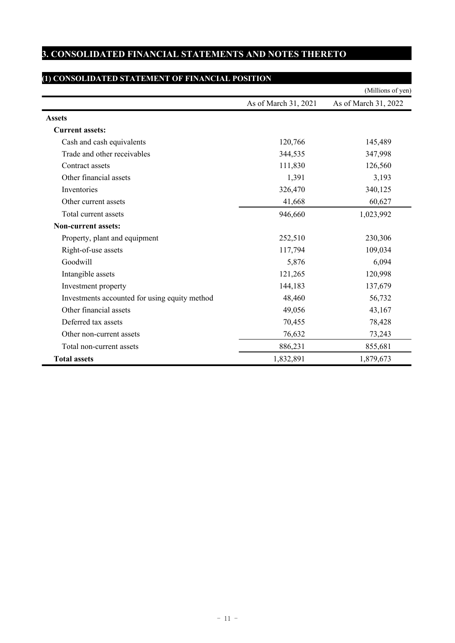## **3. CONSOLIDATED FINANCIAL STATEMENTS AND NOTES THERETO**

## **(1) CONSOLIDATED STATEMENT OF FINANCIAL POSITION**

|                                               |                      | (Millions of yen)    |
|-----------------------------------------------|----------------------|----------------------|
|                                               | As of March 31, 2021 | As of March 31, 2022 |
| <b>Assets</b>                                 |                      |                      |
| <b>Current assets:</b>                        |                      |                      |
| Cash and cash equivalents                     | 120,766              | 145,489              |
| Trade and other receivables                   | 344,535              | 347,998              |
| Contract assets                               | 111,830              | 126,560              |
| Other financial assets                        | 1,391                | 3,193                |
| Inventories                                   | 326,470              | 340,125              |
| Other current assets                          | 41,668               | 60,627               |
| Total current assets                          | 946,660              | 1,023,992            |
| <b>Non-current assets:</b>                    |                      |                      |
| Property, plant and equipment                 | 252,510              | 230,306              |
| Right-of-use assets                           | 117,794              | 109,034              |
| Goodwill                                      | 5,876                | 6,094                |
| Intangible assets                             | 121,265              | 120,998              |
| Investment property                           | 144,183              | 137,679              |
| Investments accounted for using equity method | 48,460               | 56,732               |
| Other financial assets                        | 49,056               | 43,167               |
| Deferred tax assets                           | 70,455               | 78,428               |
| Other non-current assets                      | 76,632               | 73,243               |
| Total non-current assets                      | 886,231              | 855,681              |
| <b>Total assets</b>                           | 1,832,891            | 1,879,673            |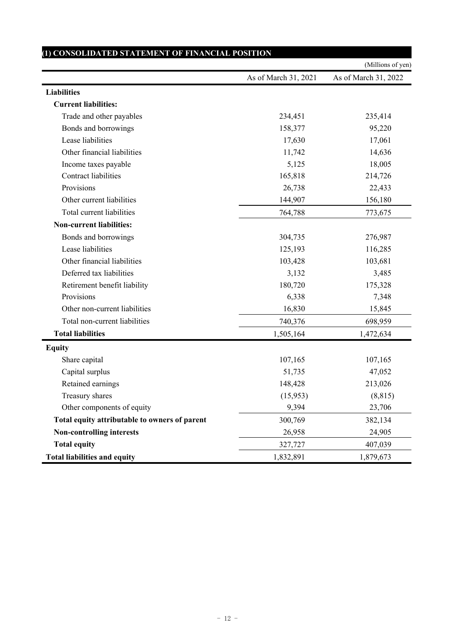|                                               |                      | (Millions of yen)    |
|-----------------------------------------------|----------------------|----------------------|
|                                               | As of March 31, 2021 | As of March 31, 2022 |
| <b>Liabilities</b>                            |                      |                      |
| <b>Current liabilities:</b>                   |                      |                      |
| Trade and other payables                      | 234,451              | 235,414              |
| Bonds and borrowings                          | 158,377              | 95,220               |
| Lease liabilities                             | 17,630               | 17,061               |
| Other financial liabilities                   | 11,742               | 14,636               |
| Income taxes payable                          | 5,125                | 18,005               |
| <b>Contract liabilities</b>                   | 165,818              | 214,726              |
| Provisions                                    | 26,738               | 22,433               |
| Other current liabilities                     | 144,907              | 156,180              |
| Total current liabilities                     | 764,788              | 773,675              |
| <b>Non-current liabilities:</b>               |                      |                      |
| Bonds and borrowings                          | 304,735              | 276,987              |
| Lease liabilities                             | 125,193              | 116,285              |
| Other financial liabilities                   | 103,428              | 103,681              |
| Deferred tax liabilities                      | 3,132                | 3,485                |
| Retirement benefit liability                  | 180,720              | 175,328              |
| Provisions                                    | 6,338                | 7,348                |
| Other non-current liabilities                 | 16,830               | 15,845               |
| Total non-current liabilities                 | 740,376              | 698,959              |
| <b>Total liabilities</b>                      | 1,505,164            | 1,472,634            |
| <b>Equity</b>                                 |                      |                      |
| Share capital                                 | 107,165              | 107,165              |
| Capital surplus                               | 51,735               | 47,052               |
| Retained earnings                             | 148,428              | 213,026              |
| Treasury shares                               | (15,953)             | (8, 815)             |
| Other components of equity                    | 9,394                | 23,706               |
| Total equity attributable to owners of parent | 300,769              | 382,134              |
| <b>Non-controlling interests</b>              | 26,958               | 24,905               |
| <b>Total equity</b>                           | 327,727              | 407,039              |
| <b>Total liabilities and equity</b>           | 1,832,891            | 1,879,673            |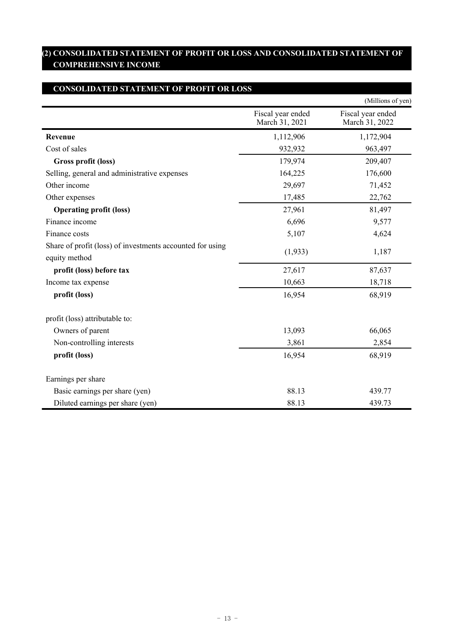## **(2) CONSOLIDATED STATEMENT OF PROFIT OR LOSS AND CONSOLIDATED STATEMENT OF COMPREHENSIVE INCOME**

## **CONSOLIDATED STATEMENT OF PROFIT OR LOSS**

|                                                                            |                                     | (Millions of yen)                   |
|----------------------------------------------------------------------------|-------------------------------------|-------------------------------------|
|                                                                            | Fiscal year ended<br>March 31, 2021 | Fiscal year ended<br>March 31, 2022 |
| Revenue                                                                    | 1,112,906                           | 1,172,904                           |
| Cost of sales                                                              | 932,932                             | 963,497                             |
| Gross profit (loss)                                                        | 179,974                             | 209,407                             |
| Selling, general and administrative expenses                               | 164,225                             | 176,600                             |
| Other income                                                               | 29,697                              | 71,452                              |
| Other expenses                                                             | 17,485                              | 22,762                              |
| <b>Operating profit (loss)</b>                                             | 27,961                              | 81,497                              |
| Finance income                                                             | 6,696                               | 9,577                               |
| Finance costs                                                              | 5,107                               | 4,624                               |
| Share of profit (loss) of investments accounted for using<br>equity method | (1,933)                             | 1,187                               |
| profit (loss) before tax                                                   | 27,617                              | 87,637                              |
| Income tax expense                                                         | 10,663                              | 18,718                              |
| profit (loss)                                                              | 16,954                              | 68,919                              |
| profit (loss) attributable to:                                             |                                     |                                     |
| Owners of parent                                                           | 13,093                              | 66,065                              |
| Non-controlling interests                                                  | 3,861                               | 2,854                               |
| profit (loss)                                                              | 16,954                              | 68,919                              |
| Earnings per share                                                         |                                     |                                     |
| Basic earnings per share (yen)                                             | 88.13                               | 439.77                              |
| Diluted earnings per share (yen)                                           | 88.13                               | 439.73                              |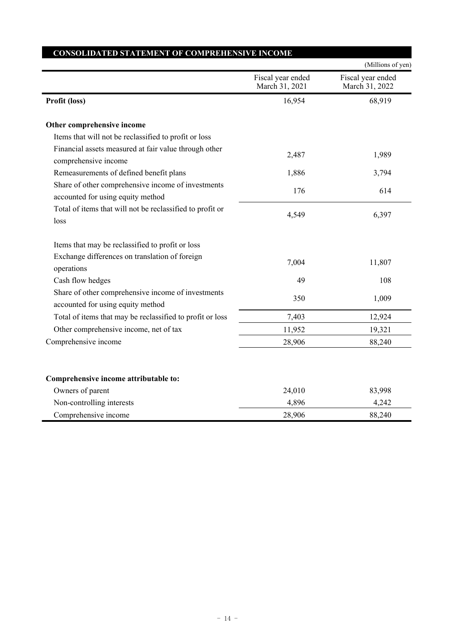|                                                                                         |                                     | (Millions of yen)                   |
|-----------------------------------------------------------------------------------------|-------------------------------------|-------------------------------------|
|                                                                                         | Fiscal year ended<br>March 31, 2021 | Fiscal year ended<br>March 31, 2022 |
| Profit (loss)                                                                           | 16,954                              | 68,919                              |
| Other comprehensive income                                                              |                                     |                                     |
| Items that will not be reclassified to profit or loss                                   |                                     |                                     |
| Financial assets measured at fair value through other<br>comprehensive income           | 2,487                               | 1,989                               |
| Remeasurements of defined benefit plans                                                 | 1,886                               | 3,794                               |
| Share of other comprehensive income of investments<br>accounted for using equity method | 176                                 | 614                                 |
| Total of items that will not be reclassified to profit or<br>loss                       | 4,549                               | 6,397                               |
| Items that may be reclassified to profit or loss                                        |                                     |                                     |
| Exchange differences on translation of foreign<br>operations                            | 7,004                               | 11,807                              |
| Cash flow hedges                                                                        | 49                                  | 108                                 |
| Share of other comprehensive income of investments<br>accounted for using equity method | 350                                 | 1,009                               |
| Total of items that may be reclassified to profit or loss                               | 7,403                               | 12,924                              |
| Other comprehensive income, net of tax                                                  | 11,952                              | 19,321                              |
| Comprehensive income                                                                    | 28,906                              | 88,240                              |
| Comprehensive income attributable to:                                                   |                                     |                                     |
| Owners of parent                                                                        | 24,010                              | 83,998                              |
| Non-controlling interests                                                               | 4,896                               | 4,242                               |
| Comprehensive income                                                                    | 28,906                              | 88,240                              |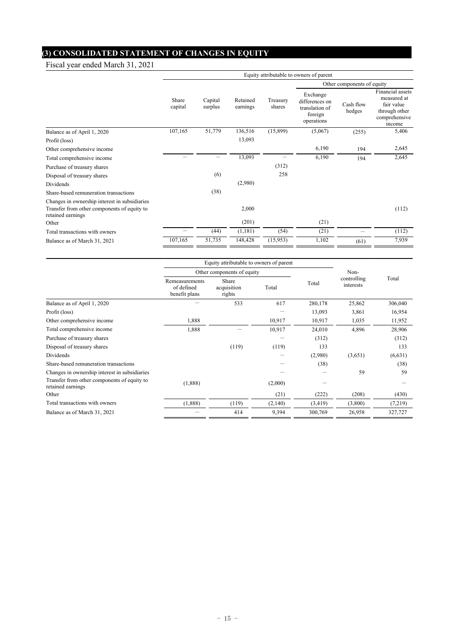# **(3) CONSOLIDATED STATEMENT OF CHANGES IN EQUITY**

Fiscal year ended March 31, 2021

|                                                                  | Equity attributable to owners of parent |                    |                      |                    |                                                                       |                     |                                                                                           |
|------------------------------------------------------------------|-----------------------------------------|--------------------|----------------------|--------------------|-----------------------------------------------------------------------|---------------------|-------------------------------------------------------------------------------------------|
|                                                                  |                                         |                    |                      |                    | Other components of equity                                            |                     |                                                                                           |
|                                                                  | Share<br>capital                        | Capital<br>surplus | Retained<br>earnings | Treasury<br>shares | Exchange<br>differences on<br>translation of<br>foreign<br>operations | Cash flow<br>hedges | Financial assets<br>measured at<br>fair value<br>through other<br>comprehensive<br>income |
| Balance as of April 1, 2020                                      | 107,165                                 | 51,779             | 136,516              | (15,899)           | (5,067)                                                               | (255)               | 5,406                                                                                     |
| Profit (loss)                                                    |                                         |                    | 13,093               |                    |                                                                       |                     |                                                                                           |
| Other comprehensive income                                       |                                         |                    |                      |                    | 6,190                                                                 | 194                 | 2,645                                                                                     |
| Total comprehensive income                                       |                                         |                    | 13,093               |                    | 6,190                                                                 | 194                 | 2,645                                                                                     |
| Purchase of treasury shares                                      |                                         |                    |                      | (312)              |                                                                       |                     |                                                                                           |
| Disposal of treasury shares                                      |                                         | (6)                |                      | 258                |                                                                       |                     |                                                                                           |
| Dividends                                                        |                                         |                    | (2,980)              |                    |                                                                       |                     |                                                                                           |
| Share-based remuneration transactions                            |                                         | (38)               |                      |                    |                                                                       |                     |                                                                                           |
| Changes in ownership interest in subsidiaries                    |                                         |                    |                      |                    |                                                                       |                     |                                                                                           |
| Transfer from other components of equity to<br>retained earnings |                                         |                    | 2,000                |                    |                                                                       |                     | (112)                                                                                     |
| Other                                                            |                                         |                    | (201)                |                    | (21)                                                                  |                     |                                                                                           |
| Total transactions with owners                                   |                                         | (44)               | (1,181)              | (54)               | (21)                                                                  |                     | (112)                                                                                     |
| Balance as of March 31, 2021                                     | 107,165                                 | 51,735             | 148,428              | (15,953)           | 1,102                                                                 | (61)                | 7,939                                                                                     |

|                                                                  | Equity attributable to owners of parent       |                                |         |         |                          |         |
|------------------------------------------------------------------|-----------------------------------------------|--------------------------------|---------|---------|--------------------------|---------|
|                                                                  | Other components of equity                    |                                | Non-    |         |                          |         |
|                                                                  | Remeasurements<br>of defined<br>benefit plans | Share<br>acquisition<br>rights | Total   | Total   | controlling<br>interests | Total   |
| Balance as of April 1, 2020                                      |                                               | 533                            | 617     | 280,178 | 25,862                   | 306,040 |
| Profit (loss)                                                    |                                               |                                |         | 13,093  | 3,861                    | 16,954  |
| Other comprehensive income                                       | 1,888                                         |                                | 10,917  | 10,917  | 1,035                    | 11,952  |
| Total comprehensive income                                       | 1,888                                         |                                | 10,917  | 24,010  | 4,896                    | 28,906  |
| Purchase of treasury shares                                      |                                               |                                |         | (312)   |                          | (312)   |
| Disposal of treasury shares                                      |                                               | (119)                          | (119)   | 133     |                          | 133     |
| Dividends                                                        |                                               |                                |         | (2,980) | (3,651)                  | (6,631) |
| Share-based remuneration transactions                            |                                               |                                |         | (38)    |                          | (38)    |
| Changes in ownership interest in subsidiaries                    |                                               |                                |         |         | 59                       | 59      |
| Transfer from other components of equity to<br>retained earnings | (1,888)                                       |                                | (2,000) |         |                          |         |
| Other                                                            |                                               |                                | (21)    | (222)   | (208)                    | (430)   |
| Total transactions with owners                                   | (1,888)                                       | (119)                          | (2,140) | (3,419) | (3,800)                  | (7,219) |
| Balance as of March 31, 2021                                     |                                               | 414                            | 9,394   | 300,769 | 26,958                   | 327,727 |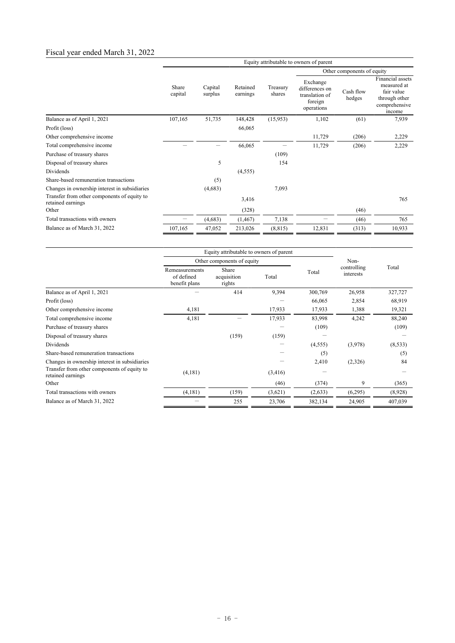## Fiscal year ended March 31, 2022

|                                                                  | Equity attributable to owners of parent |                    |                      |                    |                                                                       |                     |                                                                                           |
|------------------------------------------------------------------|-----------------------------------------|--------------------|----------------------|--------------------|-----------------------------------------------------------------------|---------------------|-------------------------------------------------------------------------------------------|
|                                                                  |                                         |                    |                      |                    | Other components of equity                                            |                     |                                                                                           |
|                                                                  | Share<br>capital                        | Capital<br>surplus | Retained<br>earnings | Treasury<br>shares | Exchange<br>differences on<br>translation of<br>foreign<br>operations | Cash flow<br>hedges | Financial assets<br>measured at<br>fair value<br>through other<br>comprehensive<br>income |
| Balance as of April 1, 2021                                      | 107,165                                 | 51,735             | 148,428              | (15,953)           | 1,102                                                                 | (61)                | 7,939                                                                                     |
| Profit (loss)                                                    |                                         |                    | 66,065               |                    |                                                                       |                     |                                                                                           |
| Other comprehensive income                                       |                                         |                    |                      |                    | 11,729                                                                | (206)               | 2,229                                                                                     |
| Total comprehensive income                                       |                                         |                    | 66,065               |                    | 11,729                                                                | (206)               | 2,229                                                                                     |
| Purchase of treasury shares                                      |                                         |                    |                      | (109)              |                                                                       |                     |                                                                                           |
| Disposal of treasury shares                                      |                                         | 5                  |                      | 154                |                                                                       |                     |                                                                                           |
| Dividends                                                        |                                         |                    | (4,555)              |                    |                                                                       |                     |                                                                                           |
| Share-based remuneration transactions                            |                                         | (5)                |                      |                    |                                                                       |                     |                                                                                           |
| Changes in ownership interest in subsidiaries                    |                                         | (4,683)            |                      | 7,093              |                                                                       |                     |                                                                                           |
| Transfer from other components of equity to<br>retained earnings |                                         |                    | 3,416                |                    |                                                                       |                     | 765                                                                                       |
| Other                                                            |                                         |                    | (328)                |                    |                                                                       | (46)                |                                                                                           |
| Total transactions with owners                                   |                                         | (4,683)            | (1, 467)             | 7,138              |                                                                       | (46)                | 765                                                                                       |
| Balance as of March 31, 2022                                     | 107,165                                 | 47,052             | 213,026              | (8, 815)           | 12,831                                                                | (313)               | 10,933                                                                                    |

|                                                                  | Equity attributable to owners of parent       |                                |         |         |                          |          |
|------------------------------------------------------------------|-----------------------------------------------|--------------------------------|---------|---------|--------------------------|----------|
|                                                                  | Other components of equity                    |                                |         |         | Non-                     |          |
|                                                                  | Remeasurements<br>of defined<br>benefit plans | Share<br>acquisition<br>rights | Total   | Total   | controlling<br>interests | Total    |
| Balance as of April 1, 2021                                      |                                               | 414                            | 9,394   | 300,769 | 26,958                   | 327,727  |
| Profit (loss)                                                    |                                               |                                |         | 66,065  | 2,854                    | 68,919   |
| Other comprehensive income                                       | 4,181                                         |                                | 17,933  | 17,933  | 1,388                    | 19,321   |
| Total comprehensive income                                       | 4,181                                         |                                | 17,933  | 83,998  | 4,242                    | 88,240   |
| Purchase of treasury shares                                      |                                               |                                |         | (109)   |                          | (109)    |
| Disposal of treasury shares                                      |                                               | (159)                          | (159)   |         |                          |          |
| <b>Dividends</b>                                                 |                                               |                                |         | (4,555) | (3,978)                  | (8, 533) |
| Share-based remuneration transactions                            |                                               |                                |         | (5)     |                          | (5)      |
| Changes in ownership interest in subsidiaries                    |                                               |                                |         | 2,410   | (2,326)                  | 84       |
| Transfer from other components of equity to<br>retained earnings | (4,181)                                       |                                | (3,416) |         |                          |          |
| Other                                                            |                                               |                                | (46)    | (374)   | 9                        | (365)    |
| Total transactions with owners                                   | (4,181)                                       | (159)                          | (3,621) | (2,633) | (6,295)                  | (8,928)  |
| Balance as of March 31, 2022                                     |                                               | 255                            | 23,706  | 382,134 | 24,905                   | 407,039  |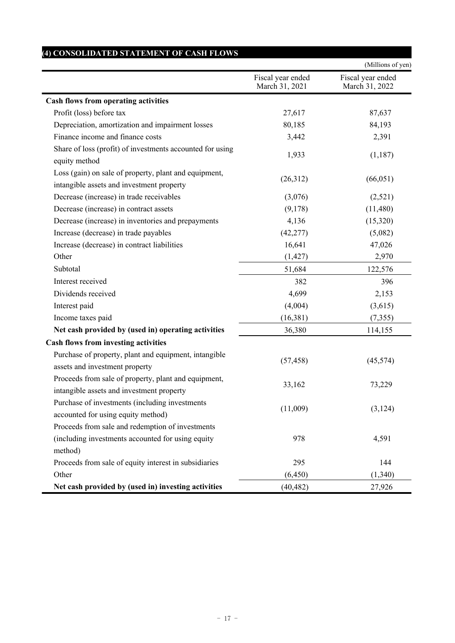|                                                                                                                  |                                     | (Millions of yen)                   |
|------------------------------------------------------------------------------------------------------------------|-------------------------------------|-------------------------------------|
|                                                                                                                  | Fiscal year ended<br>March 31, 2021 | Fiscal year ended<br>March 31, 2022 |
| <b>Cash flows from operating activities</b>                                                                      |                                     |                                     |
| Profit (loss) before tax                                                                                         | 27,617                              | 87,637                              |
| Depreciation, amortization and impairment losses                                                                 | 80,185                              | 84,193                              |
| Finance income and finance costs                                                                                 | 3,442                               | 2,391                               |
| Share of loss (profit) of investments accounted for using<br>equity method                                       | 1,933                               | (1,187)                             |
| Loss (gain) on sale of property, plant and equipment,<br>intangible assets and investment property               | (26,312)                            | (66, 051)                           |
| Decrease (increase) in trade receivables                                                                         | (3,076)                             | (2,521)                             |
| Decrease (increase) in contract assets                                                                           | (9,178)                             | (11,480)                            |
| Decrease (increase) in inventories and prepayments                                                               | 4,136                               | (15,320)                            |
| Increase (decrease) in trade payables                                                                            | (42, 277)                           | (5,082)                             |
| Increase (decrease) in contract liabilities                                                                      | 16,641                              | 47,026                              |
| Other                                                                                                            | (1, 427)                            | 2,970                               |
| Subtotal                                                                                                         | 51,684                              | 122,576                             |
| Interest received                                                                                                | 382                                 | 396                                 |
| Dividends received                                                                                               | 4,699                               | 2,153                               |
| Interest paid                                                                                                    | (4,004)                             | (3,615)                             |
| Income taxes paid                                                                                                | (16,381)                            | (7, 355)                            |
| Net cash provided by (used in) operating activities                                                              | 36,380                              | 114,155                             |
| <b>Cash flows from investing activities</b>                                                                      |                                     |                                     |
| Purchase of property, plant and equipment, intangible<br>assets and investment property                          | (57, 458)                           | (45, 574)                           |
| Proceeds from sale of property, plant and equipment,<br>intangible assets and investment property                | 33,162                              | 73,229                              |
| Purchase of investments (including investments<br>accounted for using equity method)                             | (11,009)                            | (3, 124)                            |
| Proceeds from sale and redemption of investments<br>(including investments accounted for using equity<br>method) | 978                                 | 4,591                               |
| Proceeds from sale of equity interest in subsidiaries                                                            | 295                                 | 144                                 |
| Other                                                                                                            | (6, 450)                            | (1,340)                             |
| Net cash provided by (used in) investing activities                                                              | (40, 482)                           | 27,926                              |

## $- 17 -$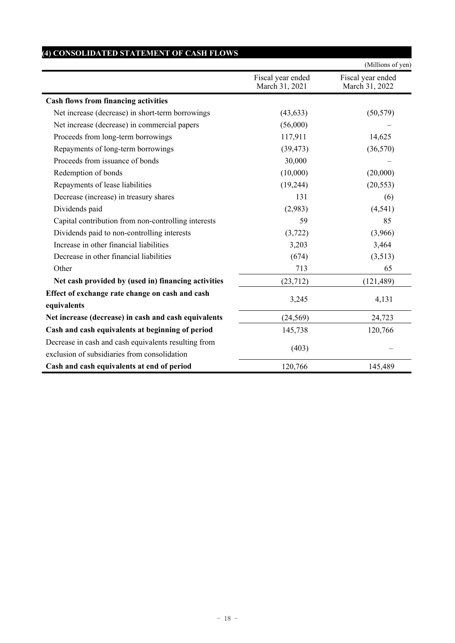|                                                                                                      |                                     | (Millions of yen)                   |
|------------------------------------------------------------------------------------------------------|-------------------------------------|-------------------------------------|
|                                                                                                      | Fiscal year ended<br>March 31, 2021 | Fiscal year ended<br>March 31, 2022 |
| <b>Cash flows from financing activities</b>                                                          |                                     |                                     |
| Net increase (decrease) in short-term borrowings                                                     | (43, 633)                           | (50, 579)                           |
| Net increase (decrease) in commercial papers                                                         | (56,000)                            |                                     |
| Proceeds from long-term borrowings                                                                   | 117,911                             | 14,625                              |
| Repayments of long-term borrowings                                                                   | (39, 473)                           | (36,570)                            |
| Proceeds from issuance of bonds                                                                      | 30,000                              |                                     |
| Redemption of bonds                                                                                  | (10,000)                            | (20,000)                            |
| Repayments of lease liabilities                                                                      | (19, 244)                           | (20, 553)                           |
| Decrease (increase) in treasury shares                                                               | 131                                 | (6)                                 |
| Dividends paid                                                                                       | (2,983)                             | (4, 541)                            |
| Capital contribution from non-controlling interests                                                  | 59                                  | 85                                  |
| Dividends paid to non-controlling interests                                                          | (3,722)                             | (3,966)                             |
| Increase in other financial liabilities                                                              | 3,203                               | 3,464                               |
| Decrease in other financial liabilities                                                              | (674)                               | (3,513)                             |
| Other                                                                                                | 713                                 | 65                                  |
| Net cash provided by (used in) financing activities                                                  | (23, 712)                           | (121, 489)                          |
| Effect of exchange rate change on cash and cash<br>equivalents                                       | 3,245                               | 4,131                               |
| Net increase (decrease) in cash and cash equivalents                                                 | (24, 569)                           | 24,723                              |
| Cash and cash equivalents at beginning of period                                                     | 145,738                             | 120,766                             |
| Decrease in cash and cash equivalents resulting from<br>exclusion of subsidiaries from consolidation | (403)                               |                                     |
| Cash and cash equivalents at end of period                                                           | 120,766                             | 145,489                             |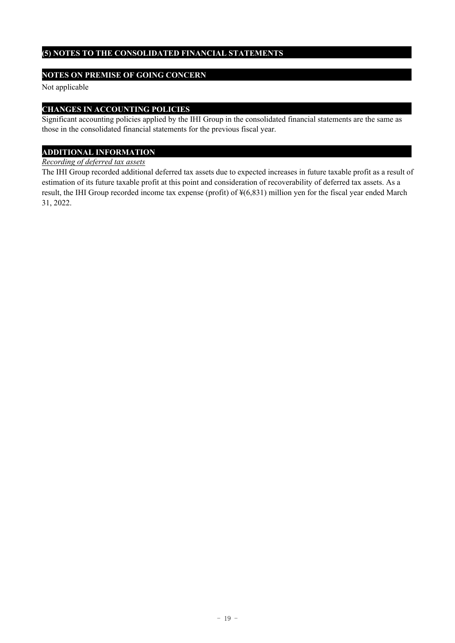### **(5) NOTES TO THE CONSOLIDATED FINANCIAL STATEMENTS**

#### **NOTES ON PREMISE OF GOING CONCERN**

Not applicable

#### **CHANGES IN ACCOUNTING POLICIES**

Significant accounting policies applied by the IHI Group in the consolidated financial statements are the same as those in the consolidated financial statements for the previous fiscal year.

## **ADDITIONAL INFORMATION**

#### *Recording of deferred tax assets*

The IHI Group recorded additional deferred tax assets due to expected increases in future taxable profit as a result of estimation of its future taxable profit at this point and consideration of recoverability of deferred tax assets. As a result, the IHI Group recorded income tax expense (profit) of ¥(6,831) million yen for the fiscal year ended March 31, 2022.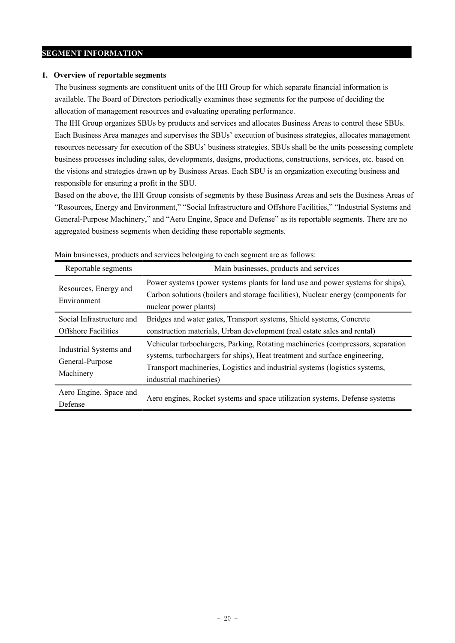#### **SEGMENT INFORMATION**

#### **1. Overview of reportable segments**

The business segments are constituent units of the IHI Group for which separate financial information is available. The Board of Directors periodically examines these segments for the purpose of deciding the allocation of management resources and evaluating operating performance.

The IHI Group organizes SBUs by products and services and allocates Business Areas to control these SBUs. Each Business Area manages and supervises the SBUs' execution of business strategies, allocates management resources necessary for execution of the SBUs' business strategies. SBUs shall be the units possessing complete business processes including sales, developments, designs, productions, constructions, services, etc. based on the visions and strategies drawn up by Business Areas. Each SBU is an organization executing business and responsible for ensuring a profit in the SBU.

Based on the above, the IHI Group consists of segments by these Business Areas and sets the Business Areas of "Resources, Energy and Environment," "Social Infrastructure and Offshore Facilities," "Industrial Systems and General-Purpose Machinery," and "Aero Engine, Space and Defense" as its reportable segments. There are no aggregated business segments when deciding these reportable segments.

| Reportable segments                                     | Main businesses, products and services                                                                                                                                                                                                                                  |
|---------------------------------------------------------|-------------------------------------------------------------------------------------------------------------------------------------------------------------------------------------------------------------------------------------------------------------------------|
| Resources, Energy and<br>Environment                    | Power systems (power systems plants for land use and power systems for ships),<br>Carbon solutions (boilers and storage facilities), Nuclear energy (components for<br>nuclear power plants)                                                                            |
| Social Infrastructure and<br><b>Offshore Facilities</b> | Bridges and water gates, Transport systems, Shield systems, Concrete<br>construction materials, Urban development (real estate sales and rental)                                                                                                                        |
| Industrial Systems and<br>General-Purpose<br>Machinery  | Vehicular turbochargers, Parking, Rotating machineries (compressors, separation<br>systems, turbochargers for ships), Heat treatment and surface engineering,<br>Transport machineries, Logistics and industrial systems (logistics systems,<br>industrial machineries) |
| Aero Engine, Space and<br>Defense                       | Aero engines, Rocket systems and space utilization systems, Defense systems                                                                                                                                                                                             |

Main businesses, products and services belonging to each segment are as follows: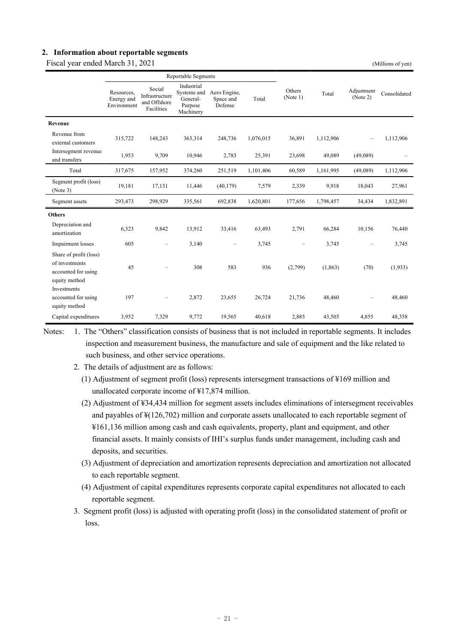#### **2. Information about reportable segments**

Fiscal year ended March 31, 2021 (Millions of yen)

|  | (Millions of ven |  |
|--|------------------|--|

|                                                                                  | <b>Reportable Segments</b>              |                                                        |                                                               |                                      |           |                          |           |                          |              |
|----------------------------------------------------------------------------------|-----------------------------------------|--------------------------------------------------------|---------------------------------------------------------------|--------------------------------------|-----------|--------------------------|-----------|--------------------------|--------------|
|                                                                                  | Resources,<br>Energy and<br>Environment | Social<br>Infrastructure<br>and Offshore<br>Facilities | Industrial<br>Systems and<br>General-<br>Purpose<br>Machinery | Aero Engine,<br>Space and<br>Defense | Total     | Others<br>(Note 1)       | Total     | Adjustment<br>(Note 2)   | Consolidated |
| Revenue                                                                          |                                         |                                                        |                                                               |                                      |           |                          |           |                          |              |
| Revenue from<br>external customers                                               | 315,722                                 | 148,243                                                | 363,314                                                       | 248,736                              | 1,076,015 | 36,891                   | 1,112,906 | $\overline{\phantom{m}}$ | 1,112,906    |
| Intersegment revenue<br>and transfers                                            | 1,953                                   | 9,709                                                  | 10,946                                                        | 2,783                                | 25,391    | 23,698                   | 49,089    | (49,089)                 |              |
| Total                                                                            | 317,675                                 | 157,952                                                | 374,260                                                       | 251,519                              | 1,101,406 | 60,589                   | 1,161,995 | (49,089)                 | 1,112,906    |
| Segment profit (loss)<br>(Note 3)                                                | 19,181                                  | 17,131                                                 | 11,446                                                        | (40, 179)                            | 7,579     | 2,339                    | 9,918     | 18,043                   | 27,961       |
| Segment assets                                                                   | 293,473                                 | 298,929                                                | 335,561                                                       | 692,838                              | 1,620,801 | 177,656                  | 1,798,457 | 34,434                   | 1,832,891    |
| <b>Others</b>                                                                    |                                         |                                                        |                                                               |                                      |           |                          |           |                          |              |
| Depreciation and<br>amortization                                                 | 6,323                                   | 9,842                                                  | 13,912                                                        | 33,416                               | 63,493    | 2,791                    | 66,284    | 10,156                   | 76,440       |
| Impairment losses                                                                | 605                                     | $\overline{\phantom{0}}$                               | 3,140                                                         | $\overline{\phantom{0}}$             | 3,745     | $\overline{\phantom{m}}$ | 3,745     | $\overline{\phantom{0}}$ | 3,745        |
| Share of profit (loss)<br>of investments<br>accounted for using<br>equity method | 45                                      |                                                        | 308                                                           | 583                                  | 936       | (2,799)                  | (1, 863)  | (70)                     | (1,933)      |
| Investments<br>accounted for using<br>equity method                              | 197                                     |                                                        | 2,872                                                         | 23,655                               | 26,724    | 21,736                   | 48,460    |                          | 48,460       |
| Capital expenditures                                                             | 3,952                                   | 7,329                                                  | 9,772                                                         | 19,565                               | 40.618    | 2,885                    | 43,503    | 4,855                    | 48,358       |

Notes: 1. The "Others" classification consists of business that is not included in reportable segments. It includes inspection and measurement business, the manufacture and sale of equipment and the like related to such business, and other service operations.

- 2. The details of adjustment are as follows:
	- (1) Adjustment of segment profit (loss) represents intersegment transactions of ¥169 million and unallocated corporate income of ¥17,874 million.
	- (2) Adjustment of ¥34,434 million for segment assets includes eliminations of intersegment receivables and payables of ¥(126,702) million and corporate assets unallocated to each reportable segment of ¥161,136 million among cash and cash equivalents, property, plant and equipment, and other financial assets. It mainly consists of IHI's surplus funds under management, including cash and deposits, and securities.
	- (3) Adjustment of depreciation and amortization represents depreciation and amortization not allocated to each reportable segment.
	- (4) Adjustment of capital expenditures represents corporate capital expenditures not allocated to each reportable segment.
- 3. Segment profit (loss) is adjusted with operating profit (loss) in the consolidated statement of profit or loss.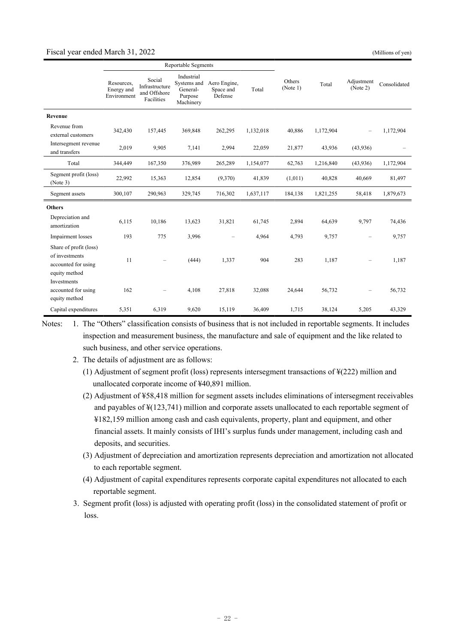#### Fiscal year ended March 31, 2022 (Millions of yen)

|                                                                                  | <b>Reportable Segments</b>              |                                                        |                                                               |                                      |           |                    |           |                          |              |
|----------------------------------------------------------------------------------|-----------------------------------------|--------------------------------------------------------|---------------------------------------------------------------|--------------------------------------|-----------|--------------------|-----------|--------------------------|--------------|
|                                                                                  | Resources,<br>Energy and<br>Environment | Social<br>Infrastructure<br>and Offshore<br>Facilities | Industrial<br>Systems and<br>General-<br>Purpose<br>Machinery | Aero Engine,<br>Space and<br>Defense | Total     | Others<br>(Note 1) | Total     | Adjustment<br>(Note 2)   | Consolidated |
| Revenue                                                                          |                                         |                                                        |                                                               |                                      |           |                    |           |                          |              |
| Revenue from<br>external customers                                               | 342,430                                 | 157,445                                                | 369,848                                                       | 262,295                              | 1,132,018 | 40,886             | 1,172,904 | $\overline{\phantom{m}}$ | 1,172,904    |
| Intersegment revenue<br>and transfers                                            | 2,019                                   | 9,905                                                  | 7,141                                                         | 2,994                                | 22,059    | 21,877             | 43,936    | (43,936)                 |              |
| Total                                                                            | 344,449                                 | 167,350                                                | 376,989                                                       | 265,289                              | 1,154,077 | 62,763             | 1,216,840 | (43,936)                 | 1,172,904    |
| Segment profit (loss)<br>(Note 3)                                                | 22,992                                  | 15,363                                                 | 12,854                                                        | (9,370)                              | 41,839    | (1,011)            | 40,828    | 40,669                   | 81,497       |
| Segment assets                                                                   | 300,107                                 | 290,963                                                | 329,745                                                       | 716,302                              | 1,637,117 | 184,138            | 1,821,255 | 58,418                   | 1,879,673    |
| <b>Others</b>                                                                    |                                         |                                                        |                                                               |                                      |           |                    |           |                          |              |
| Depreciation and<br>amortization                                                 | 6,115                                   | 10,186                                                 | 13,623                                                        | 31,821                               | 61,745    | 2,894              | 64,639    | 9,797                    | 74,436       |
| Impairment losses                                                                | 193                                     | 775                                                    | 3,996                                                         | $\overline{\phantom{0}}$             | 4,964     | 4,793              | 9,757     | $\overline{\phantom{0}}$ | 9,757        |
| Share of profit (loss)<br>of investments<br>accounted for using<br>equity method | 11                                      | $\overline{\phantom{0}}$                               | (444)                                                         | 1,337                                | 904       | 283                | 1,187     | $\overline{\phantom{m}}$ | 1,187        |
| Investments<br>accounted for using<br>equity method                              | 162                                     | $\overline{\phantom{0}}$                               | 4,108                                                         | 27,818                               | 32,088    | 24,644             | 56,732    |                          | 56,732       |
| Capital expenditures                                                             | 5,351                                   | 6,319                                                  | 9,620                                                         | 15,119                               | 36,409    | 1,715              | 38,124    | 5,205                    | 43,329       |

Notes: 1. The "Others" classification consists of business that is not included in reportable segments. It includes inspection and measurement business, the manufacture and sale of equipment and the like related to such business, and other service operations.

- 2. The details of adjustment are as follows:
	- (1) Adjustment of segment profit (loss) represents intersegment transactions of ¥(222) million and unallocated corporate income of ¥40,891 million.
	- (2) Adjustment of ¥58,418 million for segment assets includes eliminations of intersegment receivables and payables of ¥(123,741) million and corporate assets unallocated to each reportable segment of ¥182,159 million among cash and cash equivalents, property, plant and equipment, and other financial assets. It mainly consists of IHI's surplus funds under management, including cash and deposits, and securities.
	- (3) Adjustment of depreciation and amortization represents depreciation and amortization not allocated to each reportable segment.
	- (4) Adjustment of capital expenditures represents corporate capital expenditures not allocated to each reportable segment.
- 3. Segment profit (loss) is adjusted with operating profit (loss) in the consolidated statement of profit or loss.